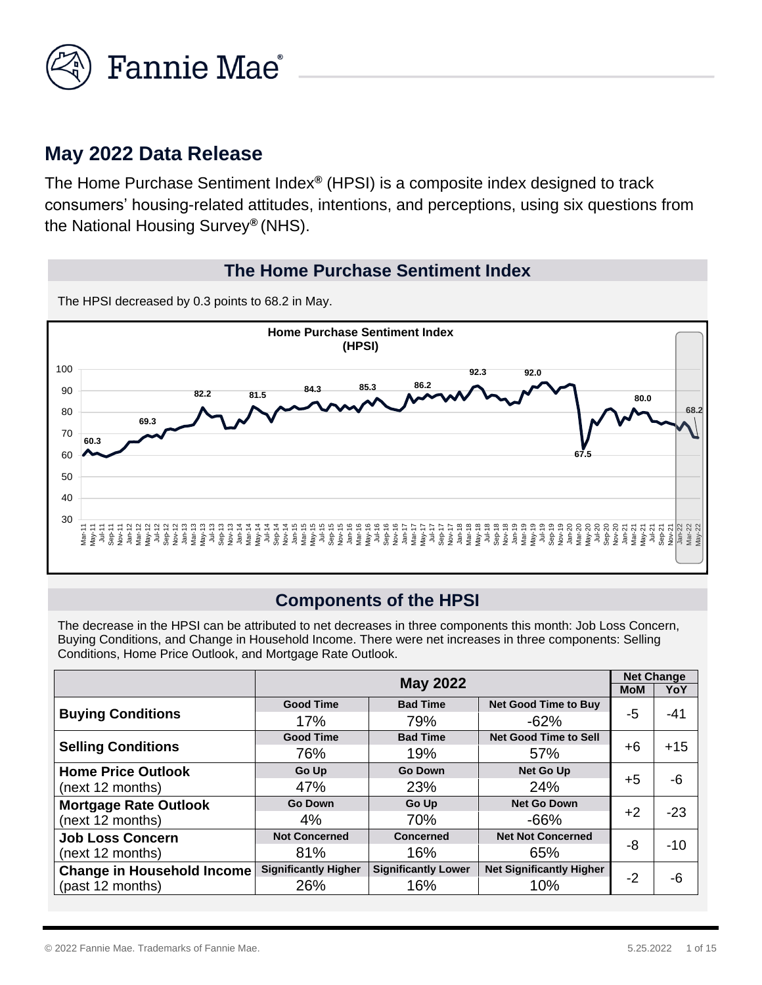

## **May 2022 Data Release**

The Home Purchase Sentiment Index*®* (HPSI) is a composite index designed to track consumers' housing-related attitudes, intentions, and perceptions, using six questions from the National Housing Survey*®* (NHS).

#### **The Home Purchase Sentiment Index**

The HPSI decreased by 0.3 points to 68.2 in May.



### **Components of the HPSI**

The decrease in the HPSI can be attributed to net decreases in three components this month: Job Loss Concern, Buying Conditions, and Change in Household Income. There were net increases in three components: Selling Conditions, Home Price Outlook, and Mortgage Rate Outlook.

|                                   | <b>May 2022</b>             |                            |                                 | <b>Net Change</b> |       |
|-----------------------------------|-----------------------------|----------------------------|---------------------------------|-------------------|-------|
|                                   |                             |                            |                                 |                   | YoY   |
|                                   | <b>Good Time</b>            | <b>Bad Time</b>            | <b>Net Good Time to Buy</b>     |                   |       |
| <b>Buying Conditions</b>          | 17%                         | 79%                        | $-62%$                          | -5                | -41   |
|                                   | <b>Good Time</b>            | <b>Bad Time</b>            | <b>Net Good Time to Sell</b>    |                   |       |
| <b>Selling Conditions</b>         | 76%                         | 19%                        | 57%                             | +6                | $+15$ |
| <b>Home Price Outlook</b>         | Go Up                       | <b>Go Down</b>             | <b>Net Go Up</b>                |                   |       |
| (next 12 months)                  | 47%                         | 23%                        | 24%                             | $+5$              | -6    |
| <b>Mortgage Rate Outlook</b>      | <b>Go Down</b>              | Go Up                      | <b>Net Go Down</b>              |                   |       |
| (next 12 months)                  | 4%                          | 70%                        | $-66%$                          | $+2$              | $-23$ |
| <b>Job Loss Concern</b>           | <b>Not Concerned</b>        | Concerned                  | <b>Net Not Concerned</b>        |                   |       |
| (next 12 months)                  | 81%                         | 16%                        | 65%                             | -8                | $-10$ |
| <b>Change in Household Income</b> | <b>Significantly Higher</b> | <b>Significantly Lower</b> | <b>Net Significantly Higher</b> |                   |       |
| (past 12 months)                  | 26%                         | 16%                        | 10%                             | $-2$              | -6    |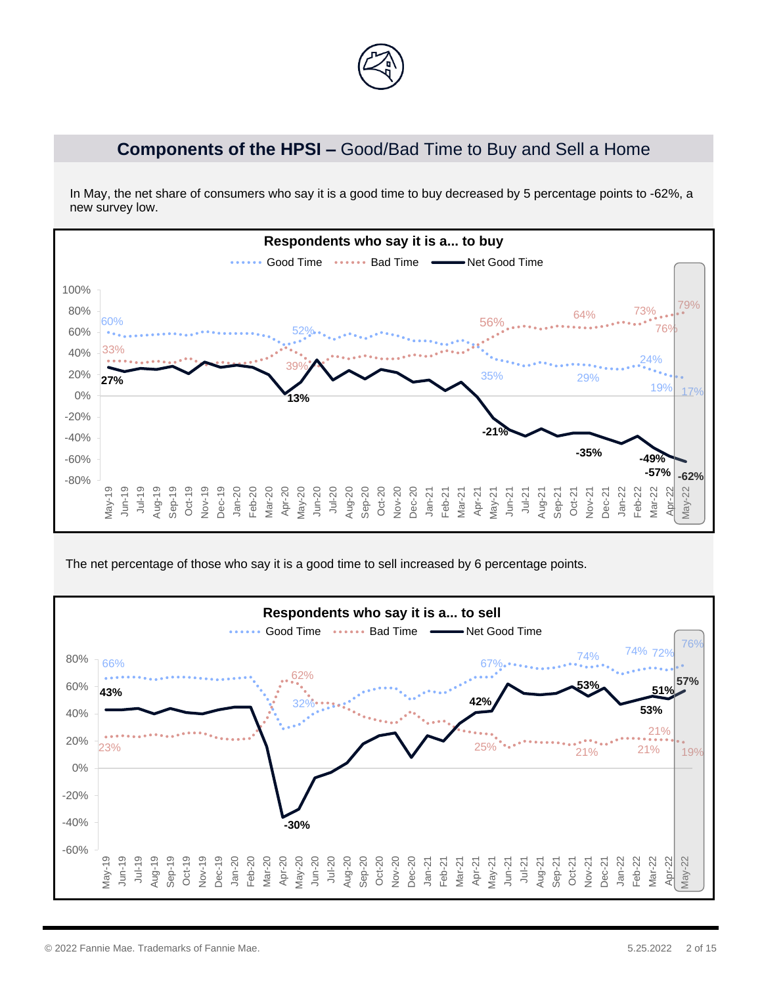

## **Components of the HPSI –** Good/Bad Time to Buy and Sell a Home

In May, the net share of consumers who say it is a good time to buy decreased by 5 percentage points to -62%, a new survey low.



The net percentage of those who say it is a good time to sell increased by 6 percentage points.

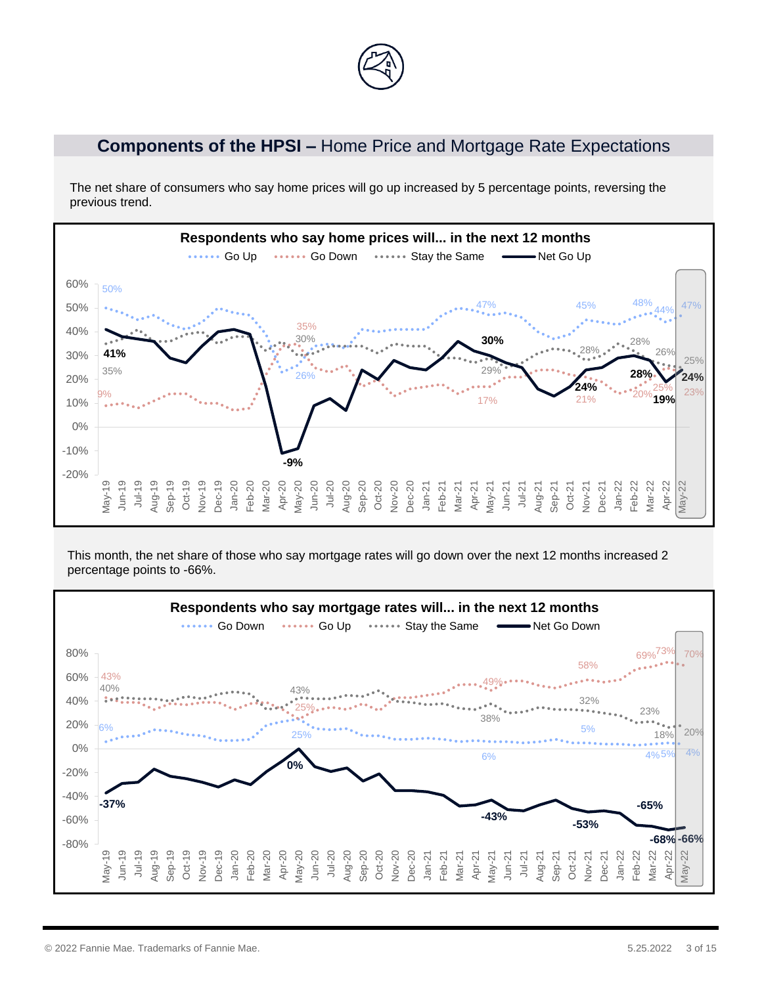

# **Components of the HPSI –** Home Price and Mortgage Rate Expectations

The net share of consumers who say home prices will go up increased by 5 percentage points, reversing the previous trend.



This month, the net share of those who say mortgage rates will go down over the next 12 months increased 2 percentage points to -66%.

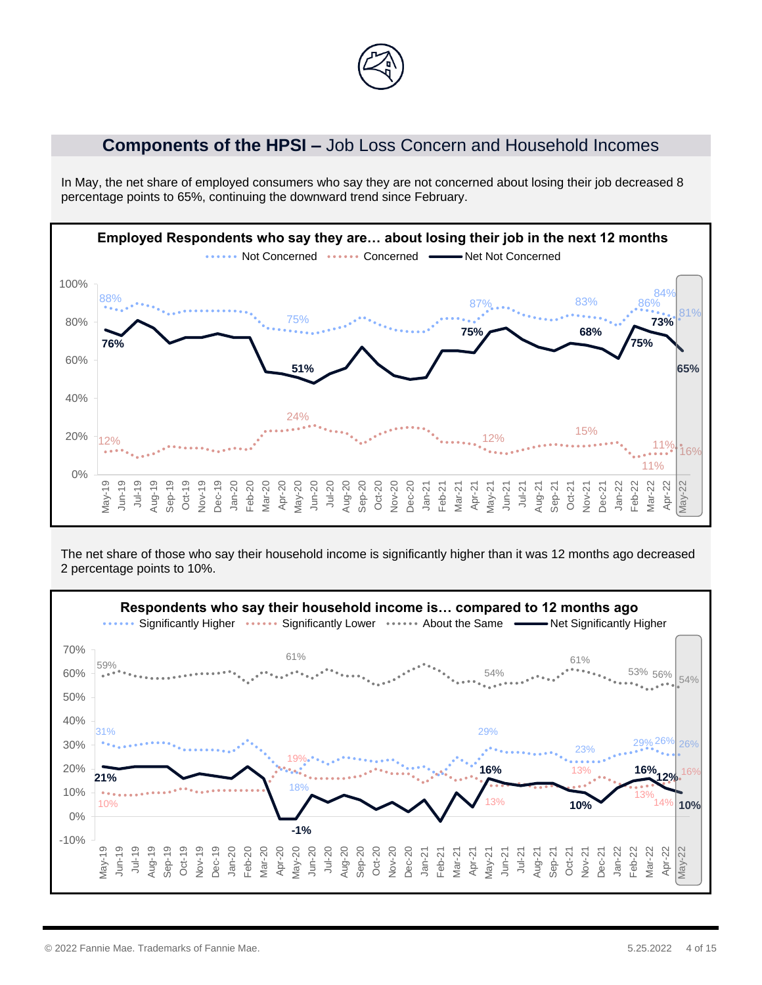

#### **Components of the HPSI –** Job Loss Concern and Household Incomes

In May, the net share of employed consumers who say they are not concerned about losing their job decreased 8 percentage points to 65%, continuing the downward trend since February.



The net share of those who say their household income is significantly higher than it was 12 months ago decreased 2 percentage points to 10%.

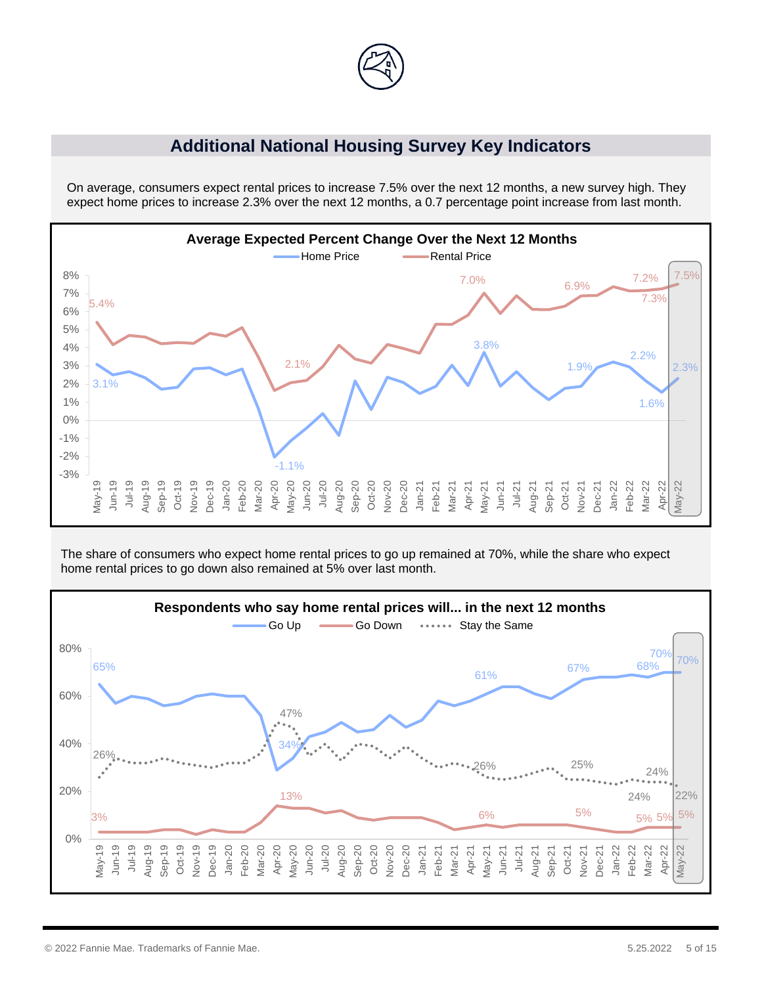

#### **Additional National Housing Survey Key Indicators**

On average, consumers expect rental prices to increase 7.5% over the next 12 months, a new survey high. They expect home prices to increase 2.3% over the next 12 months, a 0.7 percentage point increase from last month.



The share of consumers who expect home rental prices to go up remained at 70%, while the share who expect home rental prices to go down also remained at 5% over last month.

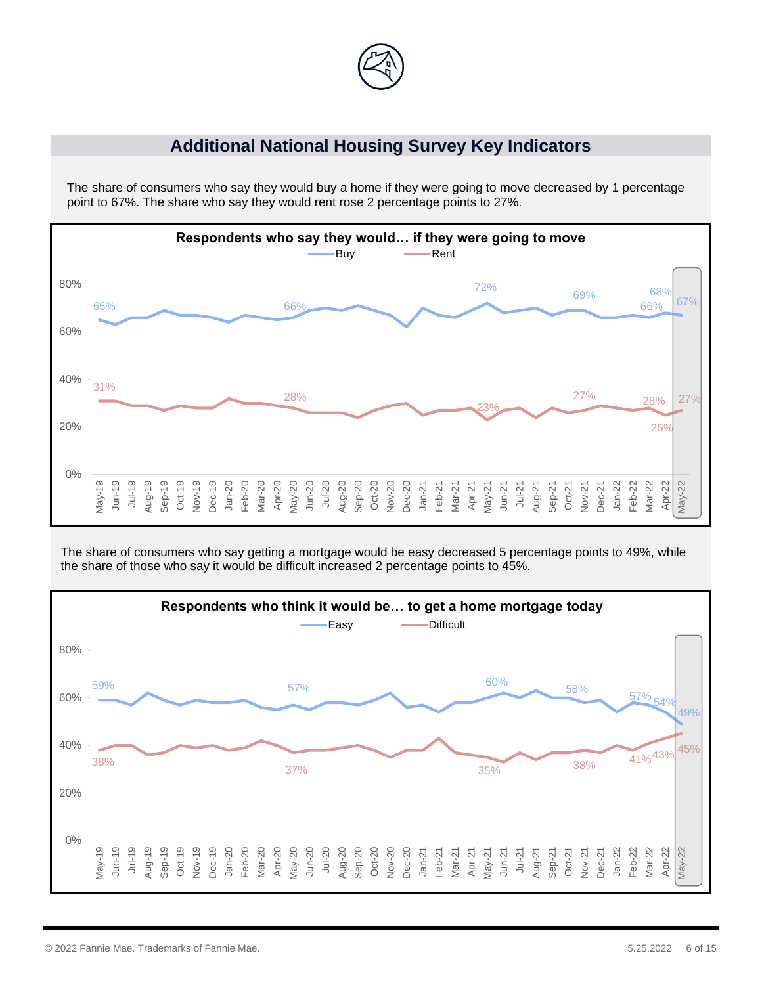

### **Additional National Housing Survey Key Indicators**

The share of consumers who say they would buy a home if they were going to move decreased by 1 percentage point to 67%. The share who say they would rent rose 2 percentage points to 27%.



The share of consumers who say getting a mortgage would be easy decreased 5 percentage points to 49%, while the share of those who say it would be difficult increased 2 percentage points to 45%.

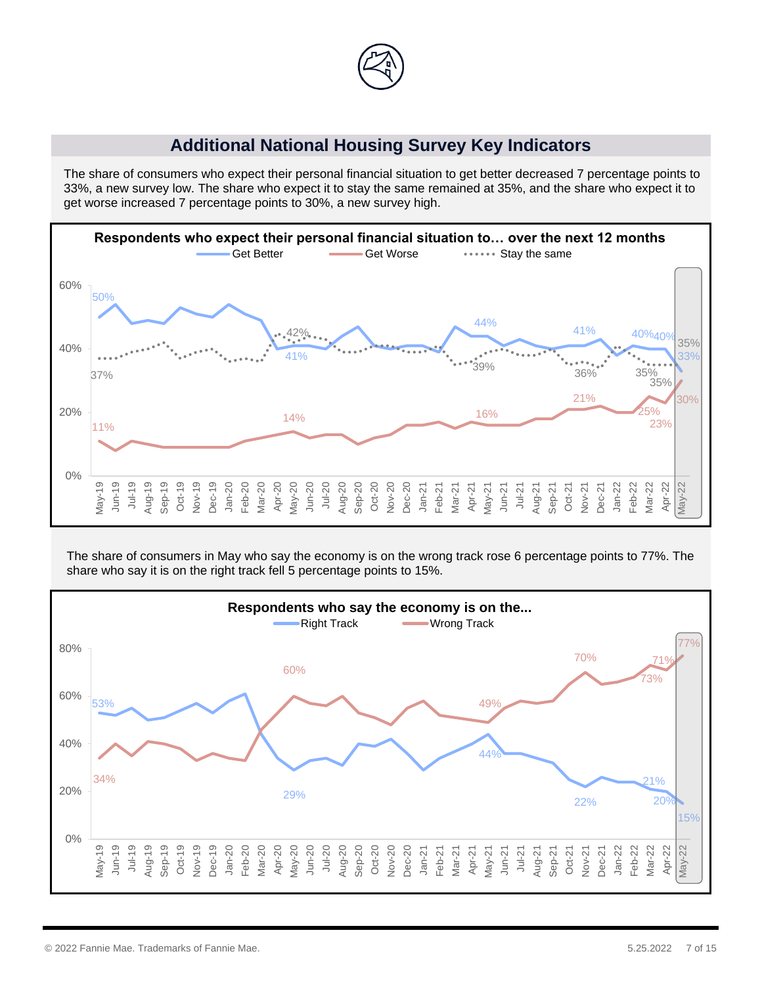

### **Additional National Housing Survey Key Indicators**

The share of consumers who expect their personal financial situation to get better decreased 7 percentage points to 33%, a new survey low. The share who expect it to stay the same remained at 35%, and the share who expect it to get worse increased 7 percentage points to 30%, a new survey high.



The share of consumers in May who say the economy is on the wrong track rose 6 percentage points to 77%. The share who say it is on the right track fell 5 percentage points to 15%.

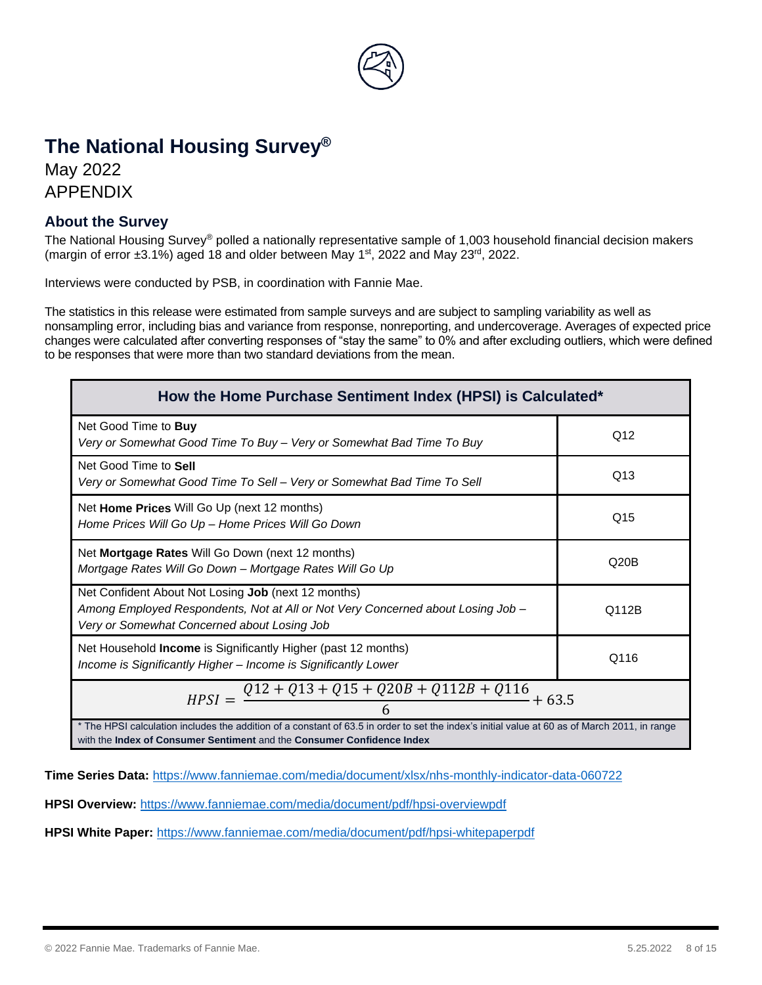

# **The National Housing Survey®**

May 2022 APPENDIX

#### **About the Survey**

The National Housing Survey® polled a nationally representative sample of 1,003 household financial decision makers (margin of error  $\pm 3.1\%$ ) aged 18 and older between May 1<sup>st</sup>, 2022 and May 23<sup>rd</sup>, 2022.

Interviews were conducted by PSB, in coordination with Fannie Mae.

The statistics in this release were estimated from sample surveys and are subject to sampling variability as well as nonsampling error, including bias and variance from response, nonreporting, and undercoverage. Averages of expected price changes were calculated after converting responses of "stay the same" to 0% and after excluding outliers, which were defined to be responses that were more than two standard deviations from the mean.

| How the Home Purchase Sentiment Index (HPSI) is Calculated*                                                                                                                                                                    |       |  |  |  |
|--------------------------------------------------------------------------------------------------------------------------------------------------------------------------------------------------------------------------------|-------|--|--|--|
| Net Good Time to Buy<br>Very or Somewhat Good Time To Buy - Very or Somewhat Bad Time To Buy                                                                                                                                   | Q12   |  |  |  |
| Net Good Time to Sell<br>Very or Somewhat Good Time To Sell – Very or Somewhat Bad Time To Sell                                                                                                                                | Q13   |  |  |  |
| Net Home Prices Will Go Up (next 12 months)<br>Home Prices Will Go Up - Home Prices Will Go Down                                                                                                                               | Q15   |  |  |  |
| Net Mortgage Rates Will Go Down (next 12 months)<br>Mortgage Rates Will Go Down - Mortgage Rates Will Go Up                                                                                                                    | Q20B  |  |  |  |
| Net Confident About Not Losing Job (next 12 months)<br>Among Employed Respondents, Not at All or Not Very Concerned about Losing Job -<br>Very or Somewhat Concerned about Losing Job                                          | Q112B |  |  |  |
| Net Household Income is Significantly Higher (past 12 months)<br>Income is Significantly Higher – Income is Significantly Lower                                                                                                | Q116  |  |  |  |
| $HPSI = \frac{Q12 + Q13 + Q15 + Q20B + Q112B + Q116}{6} + 63.5$                                                                                                                                                                |       |  |  |  |
| * The HPSI calculation includes the addition of a constant of 63.5 in order to set the index's initial value at 60 as of March 2011, in range<br>with the <b>Index of Consumer Sentiment</b> and the Consumer Confidence Index |       |  |  |  |

with the **Index of Consumer Sentiment** and the **Consumer Confidence Index**

**Time Series Data:** <https://www.fanniemae.com/media/document/xlsx/nhs-monthly-indicator-data-060722>

**HPSI Overview:** <https://www.fanniemae.com/media/document/pdf/hpsi-overviewpdf>

**HPSI White Paper:** <https://www.fanniemae.com/media/document/pdf/hpsi-whitepaperpdf>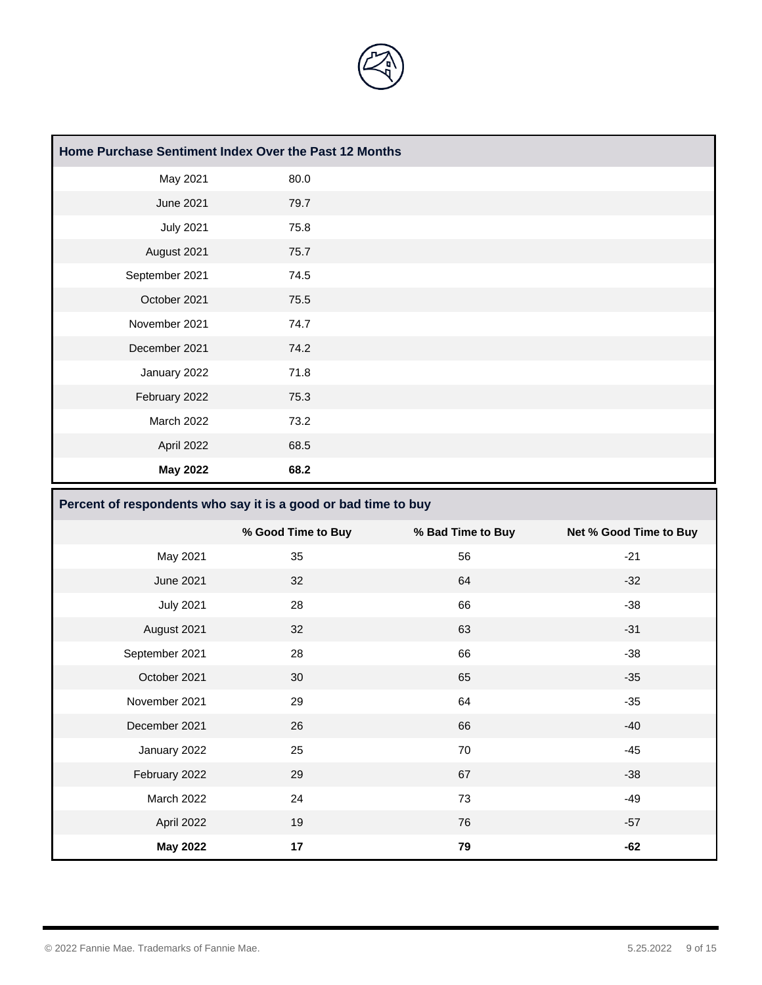

| Home Purchase Sentiment Index Over the Past 12 Months |      |  |
|-------------------------------------------------------|------|--|
| May 2021                                              | 80.0 |  |
| <b>June 2021</b>                                      | 79.7 |  |
| <b>July 2021</b>                                      | 75.8 |  |
| August 2021                                           | 75.7 |  |
| September 2021                                        | 74.5 |  |
| October 2021                                          | 75.5 |  |
| November 2021                                         | 74.7 |  |
| December 2021                                         | 74.2 |  |
| January 2022                                          | 71.8 |  |
| February 2022                                         | 75.3 |  |
| March 2022                                            | 73.2 |  |
| April 2022                                            | 68.5 |  |
| <b>May 2022</b>                                       | 68.2 |  |

| Percent of respondents who say it is a good or bad time to buy |  |  |  |  |  |
|----------------------------------------------------------------|--|--|--|--|--|
|----------------------------------------------------------------|--|--|--|--|--|

|                  | % Good Time to Buy | % Bad Time to Buy | Net % Good Time to Buy |
|------------------|--------------------|-------------------|------------------------|
| May 2021         | 35                 | 56                | $-21$                  |
| <b>June 2021</b> | 32                 | 64                | $-32$                  |
| <b>July 2021</b> | 28                 | 66                | $-38$                  |
| August 2021      | 32                 | 63                | $-31$                  |
| September 2021   | 28                 | 66                | $-38$                  |
| October 2021     | 30                 | 65                | $-35$                  |
| November 2021    | 29                 | 64                | $-35$                  |
| December 2021    | 26                 | 66                | $-40$                  |
| January 2022     | 25                 | 70                | $-45$                  |
| February 2022    | 29                 | 67                | $-38$                  |
| March 2022       | 24                 | 73                | $-49$                  |
| April 2022       | 19                 | 76                | $-57$                  |
| <b>May 2022</b>  | 17                 | 79                | $-62$                  |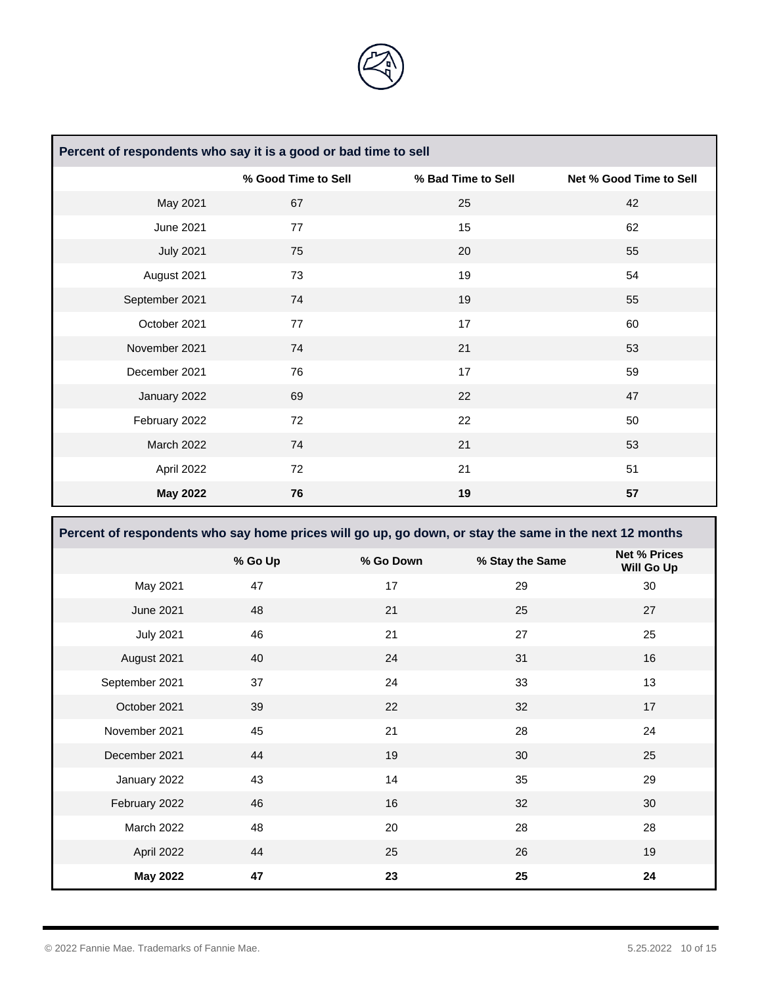

| Percent of respondents who say it is a good or bad time to sell |                     |                    |                         |  |
|-----------------------------------------------------------------|---------------------|--------------------|-------------------------|--|
|                                                                 | % Good Time to Sell | % Bad Time to Sell | Net % Good Time to Sell |  |
| May 2021                                                        | 67                  | 25                 | 42                      |  |
| June 2021                                                       | 77                  | 15                 | 62                      |  |
| <b>July 2021</b>                                                | 75                  | 20                 | 55                      |  |
| August 2021                                                     | 73                  | 19                 | 54                      |  |
| September 2021                                                  | 74                  | 19                 | 55                      |  |
| October 2021                                                    | 77                  | 17                 | 60                      |  |
| November 2021                                                   | 74                  | 21                 | 53                      |  |
| December 2021                                                   | 76                  | 17                 | 59                      |  |
| January 2022                                                    | 69                  | 22                 | 47                      |  |
| February 2022                                                   | 72                  | 22                 | 50                      |  |
| March 2022                                                      | 74                  | 21                 | 53                      |  |
| April 2022                                                      | 72                  | 21                 | 51                      |  |
| <b>May 2022</b>                                                 | 76                  | 19                 | 57                      |  |

| Percent of respondents who say home prices will go up, go down, or stay the same in the next 12 months |         |           |                 |                                   |  |
|--------------------------------------------------------------------------------------------------------|---------|-----------|-----------------|-----------------------------------|--|
|                                                                                                        | % Go Up | % Go Down | % Stay the Same | <b>Net % Prices</b><br>Will Go Up |  |
| May 2021                                                                                               | 47      | 17        | 29              | 30                                |  |
| June 2021                                                                                              | 48      | 21        | 25              | 27                                |  |
| <b>July 2021</b>                                                                                       | 46      | 21        | 27              | 25                                |  |
| August 2021                                                                                            | 40      | 24        | 31              | 16                                |  |
| September 2021                                                                                         | 37      | 24        | 33              | 13                                |  |
| October 2021                                                                                           | 39      | 22        | 32              | 17                                |  |
| November 2021                                                                                          | 45      | 21        | 28              | 24                                |  |
| December 2021                                                                                          | 44      | 19        | 30              | 25                                |  |
| January 2022                                                                                           | 43      | 14        | 35              | 29                                |  |
| February 2022                                                                                          | 46      | 16        | 32              | 30                                |  |
| March 2022                                                                                             | 48      | 20        | 28              | 28                                |  |
| April 2022                                                                                             | 44      | 25        | 26              | 19                                |  |
| <b>May 2022</b>                                                                                        | 47      | 23        | 25              | 24                                |  |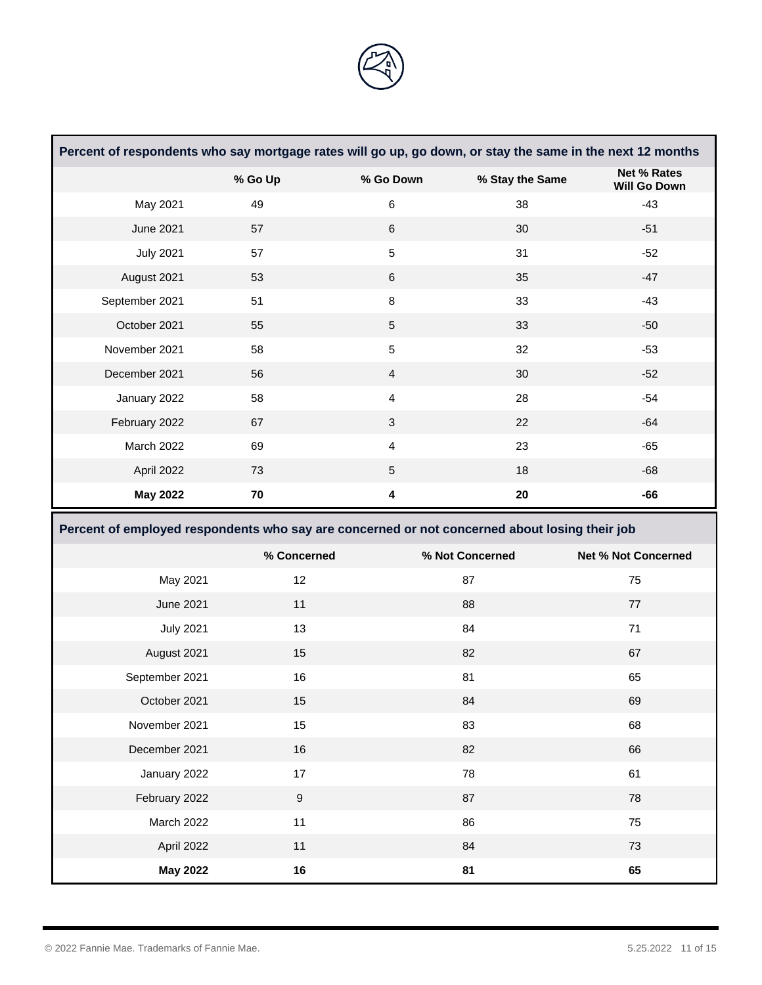

| Percent of respondents who say mortgage rates will go up, go down, or stay the same in the next 12 months |                  |                         |                 |                                           |
|-----------------------------------------------------------------------------------------------------------|------------------|-------------------------|-----------------|-------------------------------------------|
|                                                                                                           | % Go Up          | % Go Down               | % Stay the Same | <b>Net % Rates</b><br><b>Will Go Down</b> |
| May 2021                                                                                                  | 49               | 6                       | 38              | $-43$                                     |
| <b>June 2021</b>                                                                                          | 57               | $\,6\,$                 | 30              | $-51$                                     |
| <b>July 2021</b>                                                                                          | 57               | $\sqrt{5}$              | 31              | $-52$                                     |
| August 2021                                                                                               | 53               | 6                       | 35              | $-47$                                     |
| September 2021                                                                                            | 51               | 8                       | 33              | $-43$                                     |
| October 2021                                                                                              | 55               | $\overline{5}$          | 33              | $-50$                                     |
| November 2021                                                                                             | 58               | $\overline{5}$          | 32              | $-53$                                     |
| December 2021                                                                                             | 56               | $\overline{4}$          | 30              | $-52$                                     |
| January 2022                                                                                              | 58               | $\overline{\mathbf{4}}$ | 28              | $-54$                                     |
| February 2022                                                                                             | 67               | $\mathbf{3}$            | 22              | $-64$                                     |
| March 2022                                                                                                | 69               | $\overline{\mathbf{4}}$ | 23              | $-65$                                     |
| April 2022                                                                                                | 73               | $\overline{5}$          | 18              | $-68$                                     |
| <b>May 2022</b>                                                                                           | 70               | $\overline{\mathbf{4}}$ | 20              | $-66$                                     |
|                                                                                                           |                  |                         |                 |                                           |
| Percent of employed respondents who say are concerned or not concerned about losing their job             |                  |                         |                 |                                           |
|                                                                                                           | % Concerned      |                         | % Not Concerned | <b>Net % Not Concerned</b>                |
| May 2021                                                                                                  | 12               |                         | 87              | 75                                        |
| <b>June 2021</b>                                                                                          | 11               |                         | 88              | 77                                        |
| <b>July 2021</b>                                                                                          | 13               |                         | 84              | 71                                        |
| August 2021                                                                                               | 15               |                         | 82              | 67                                        |
| September 2021                                                                                            | 16               |                         | 81              | 65                                        |
| October 2021                                                                                              | 15               |                         | 84              | 69                                        |
| November 2021                                                                                             | 15               |                         | 83              | 68                                        |
| December 2021                                                                                             | 16               |                         | 82              | 66                                        |
| January 2022                                                                                              | 17               |                         | 78              | 61                                        |
| February 2022                                                                                             | $\boldsymbol{9}$ |                         | 87              | 78                                        |
| March 2022                                                                                                | 11               |                         | 86              | 75                                        |
| April 2022                                                                                                | 11               |                         | 84              | 73                                        |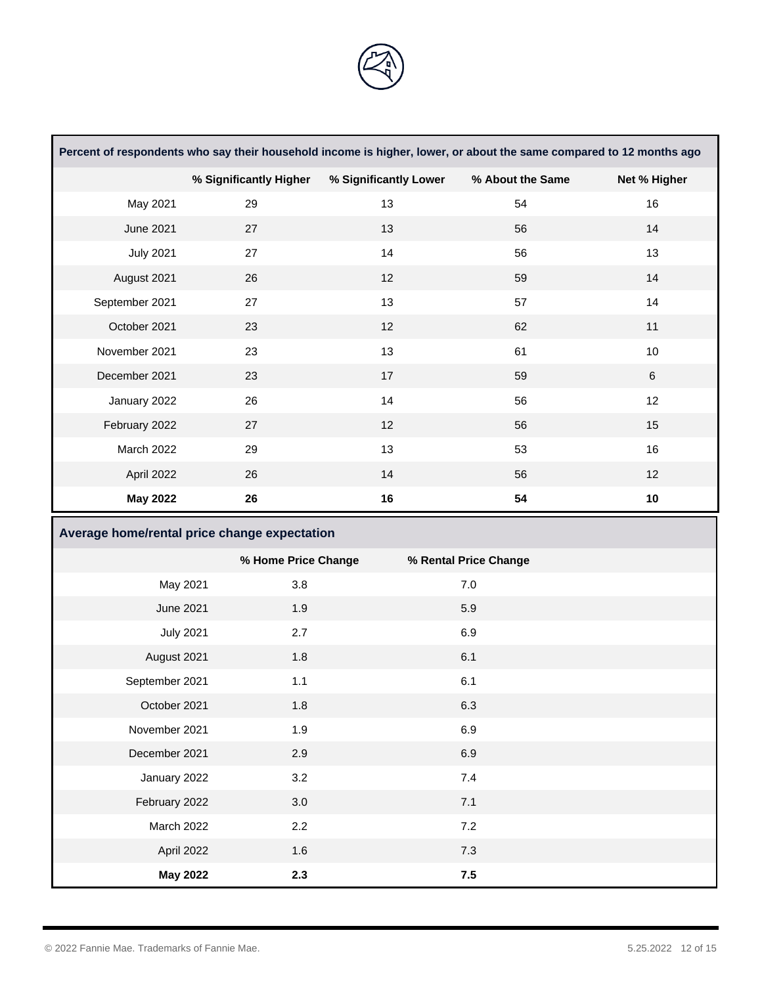

|                                              |                        | Percent of respondents who say their household income is higher, lower, or about the same compared to 12 months ago |                       |              |
|----------------------------------------------|------------------------|---------------------------------------------------------------------------------------------------------------------|-----------------------|--------------|
|                                              | % Significantly Higher | % Significantly Lower                                                                                               | % About the Same      | Net % Higher |
| May 2021                                     | 29                     | 13                                                                                                                  | 54                    | 16           |
| <b>June 2021</b>                             | 27                     | 13                                                                                                                  | 56                    | 14           |
| <b>July 2021</b>                             | 27                     | 14                                                                                                                  | 56                    | 13           |
| August 2021                                  | 26                     | 12                                                                                                                  | 59                    | 14           |
| September 2021                               | 27                     | 13                                                                                                                  | 57                    | 14           |
| October 2021                                 | 23                     | 12                                                                                                                  | 62                    | 11           |
| November 2021                                | 23                     | 13                                                                                                                  | 61                    | $10$         |
| December 2021                                | 23                     | 17                                                                                                                  | 59                    | $\,6\,$      |
| January 2022                                 | 26                     | 14                                                                                                                  | 56                    | 12           |
| February 2022                                | 27                     | 12                                                                                                                  | 56                    | 15           |
| March 2022                                   | 29                     | 13                                                                                                                  | 53                    | 16           |
| April 2022                                   | 26                     | 14                                                                                                                  | 56                    | 12           |
| <b>May 2022</b>                              | 26                     | 16                                                                                                                  | 54                    | 10           |
|                                              |                        |                                                                                                                     |                       |              |
| Average home/rental price change expectation |                        |                                                                                                                     |                       |              |
|                                              | % Home Price Change    |                                                                                                                     | % Rental Price Change |              |
| May 2021                                     | 3.8                    |                                                                                                                     | $7.0\,$               |              |
| <b>June 2021</b>                             | 1.9                    |                                                                                                                     | 5.9                   |              |
| <b>July 2021</b>                             | 2.7                    |                                                                                                                     | 6.9                   |              |
| August 2021                                  | 1.8                    |                                                                                                                     | 6.1                   |              |
| September 2021                               | 1.1                    |                                                                                                                     | 6.1                   |              |
| October 2021                                 | $1.8$                  |                                                                                                                     | 6.3                   |              |
| November 2021                                | 1.9                    |                                                                                                                     | 6.9                   |              |
| December 2021                                | 2.9                    |                                                                                                                     | 6.9                   |              |
| January 2022                                 | 3.2                    |                                                                                                                     | $7.4$                 |              |
| February 2022                                | 3.0                    |                                                                                                                     | 7.1                   |              |
| March 2022                                   | 2.2                    |                                                                                                                     | 7.2                   |              |
| April 2022                                   | 1.6                    |                                                                                                                     | $7.3$                 |              |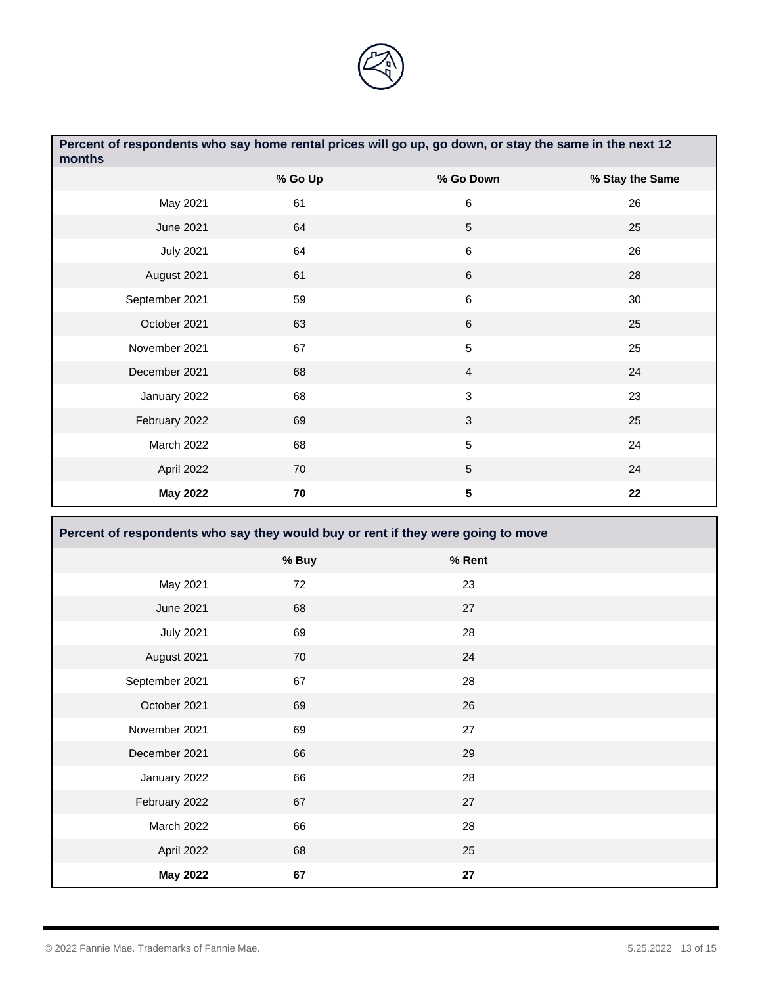

| Percent of respondents who say home rental prices will go up, go down, or stay the same in the next 12<br>months |         |                 |                 |  |
|------------------------------------------------------------------------------------------------------------------|---------|-----------------|-----------------|--|
|                                                                                                                  | % Go Up | % Go Down       | % Stay the Same |  |
| May 2021                                                                                                         | 61      | 6               | 26              |  |
| June 2021                                                                                                        | 64      | 5               | 25              |  |
| <b>July 2021</b>                                                                                                 | 64      | $\,6\,$         | 26              |  |
| August 2021                                                                                                      | 61      | 6               | 28              |  |
| September 2021                                                                                                   | 59      | $6\phantom{a}$  | 30              |  |
| October 2021                                                                                                     | 63      | 6               | 25              |  |
| November 2021                                                                                                    | 67      | 5               | 25              |  |
| December 2021                                                                                                    | 68      | $\overline{4}$  | 24              |  |
| January 2022                                                                                                     | 68      | 3               | 23              |  |
| February 2022                                                                                                    | 69      | 3               | 25              |  |
| March 2022                                                                                                       | 68      | $\overline{5}$  | 24              |  |
| April 2022                                                                                                       | 70      | $5\phantom{.0}$ | 24              |  |
| May 2022                                                                                                         | 70      | $5\phantom{a}$  | 22              |  |

| Percent of respondents who say they would buy or rent if they were going to move |       |            |  |  |
|----------------------------------------------------------------------------------|-------|------------|--|--|
|                                                                                  | % Buy | % Rent     |  |  |
| May 2021                                                                         | 72    | 23         |  |  |
| <b>June 2021</b>                                                                 | 68    | 27         |  |  |
| <b>July 2021</b>                                                                 | 69    | 28         |  |  |
| August 2021                                                                      | 70    | 24         |  |  |
| September 2021                                                                   | 67    | 28         |  |  |
| October 2021                                                                     | 69    | 26         |  |  |
| November 2021                                                                    | 69    | 27         |  |  |
| December 2021                                                                    | 66    | 29         |  |  |
| January 2022                                                                     | 66    | 28         |  |  |
| February 2022                                                                    | 67    | 27         |  |  |
| March 2022                                                                       | 66    | 28         |  |  |
| April 2022                                                                       | 68    | 25         |  |  |
| <b>May 2022</b>                                                                  | 67    | ${\bf 27}$ |  |  |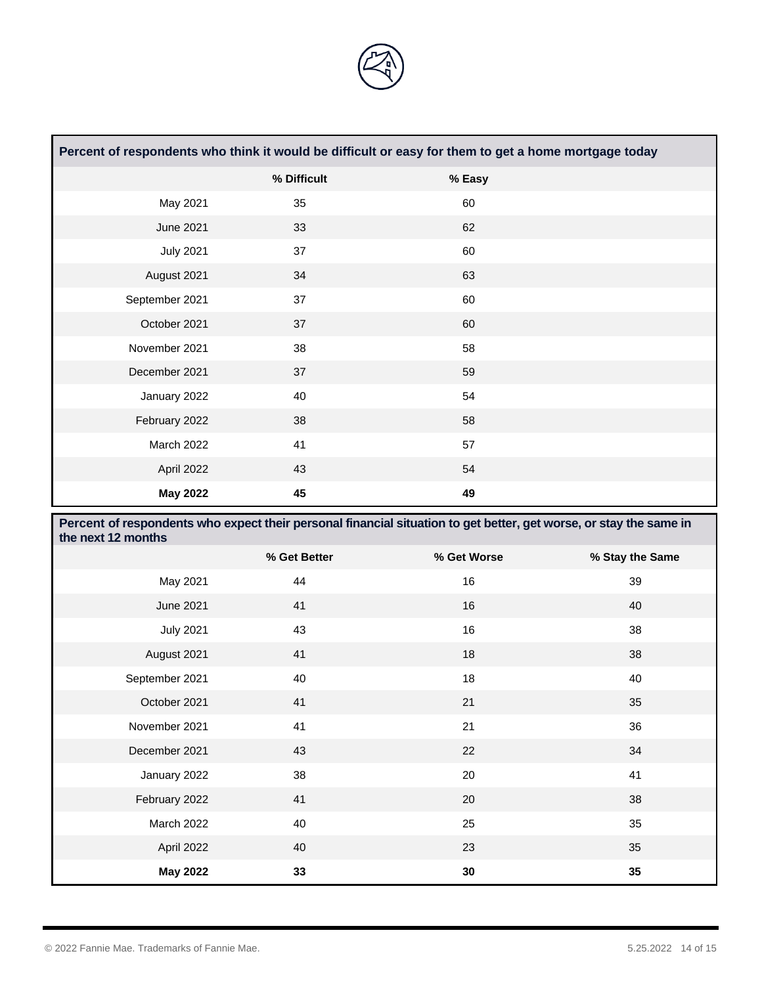

| Percent of respondents who think it would be difficult or easy for them to get a home mortgage today |             |        |  |  |  |
|------------------------------------------------------------------------------------------------------|-------------|--------|--|--|--|
|                                                                                                      | % Difficult | % Easy |  |  |  |
| May 2021                                                                                             | 35          | 60     |  |  |  |
| June 2021                                                                                            | 33          | 62     |  |  |  |
| <b>July 2021</b>                                                                                     | 37          | 60     |  |  |  |
| August 2021                                                                                          | 34          | 63     |  |  |  |
| September 2021                                                                                       | 37          | 60     |  |  |  |
| October 2021                                                                                         | 37          | 60     |  |  |  |
| November 2021                                                                                        | 38          | 58     |  |  |  |
| December 2021                                                                                        | 37          | 59     |  |  |  |
| January 2022                                                                                         | 40          | 54     |  |  |  |
| February 2022                                                                                        | 38          | 58     |  |  |  |
| March 2022                                                                                           | 41          | 57     |  |  |  |
| April 2022                                                                                           | 43          | 54     |  |  |  |
| May 2022                                                                                             | 45          | 49     |  |  |  |

| Percent of respondents who expect their personal financial situation to get better, get worse, or stay the same in<br>the next 12 months |              |             |                 |  |
|------------------------------------------------------------------------------------------------------------------------------------------|--------------|-------------|-----------------|--|
|                                                                                                                                          | % Get Better | % Get Worse | % Stay the Same |  |
| May 2021                                                                                                                                 | 44           | 16          | 39              |  |
| <b>June 2021</b>                                                                                                                         | 41           | 16          | 40              |  |
| <b>July 2021</b>                                                                                                                         | 43           | 16          | 38              |  |
| August 2021                                                                                                                              | 41           | 18          | 38              |  |
| September 2021                                                                                                                           | 40           | 18          | 40              |  |
| October 2021                                                                                                                             | 41           | 21          | 35              |  |
| November 2021                                                                                                                            | 41           | 21          | 36              |  |
| December 2021                                                                                                                            | 43           | 22          | 34              |  |
| January 2022                                                                                                                             | 38           | 20          | 41              |  |
| February 2022                                                                                                                            | 41           | 20          | 38              |  |
| March 2022                                                                                                                               | 40           | 25          | 35              |  |
| April 2022                                                                                                                               | 40           | 23          | 35              |  |
| <b>May 2022</b>                                                                                                                          | 33           | 30          | 35              |  |